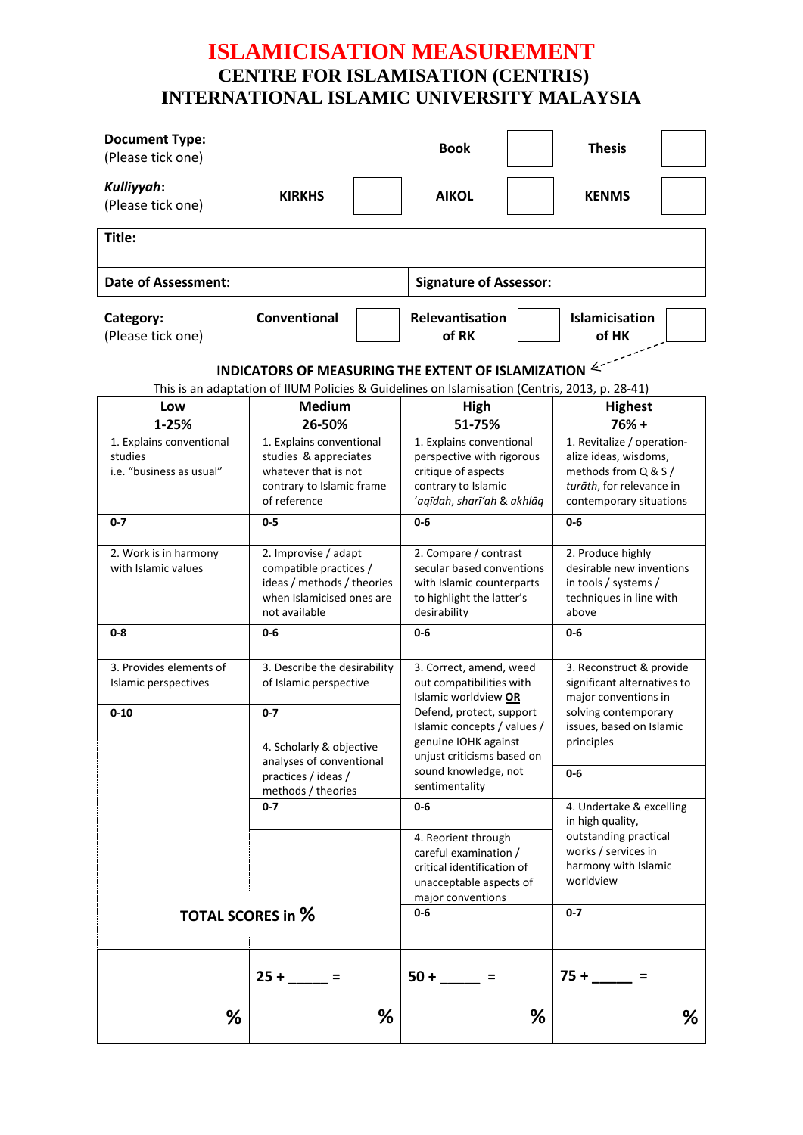## **ISLAMICISATION MEASUREMENT CENTRE FOR ISLAMISATION (CENTRIS) INTERNATIONAL ISLAMIC UNIVERSITY MALAYSIA**

| <b>Document Type:</b><br>(Please tick one)                                                                                                          |                                                                                                                            | <b>Book</b>                                                                                                                         |                                                                                                                                                                                                                      | <b>Thesis</b>                                                                                                                     |                                                                                                                                     |  |  |  |  |  |
|-----------------------------------------------------------------------------------------------------------------------------------------------------|----------------------------------------------------------------------------------------------------------------------------|-------------------------------------------------------------------------------------------------------------------------------------|----------------------------------------------------------------------------------------------------------------------------------------------------------------------------------------------------------------------|-----------------------------------------------------------------------------------------------------------------------------------|-------------------------------------------------------------------------------------------------------------------------------------|--|--|--|--|--|
| Kulliyyah:<br>(Please tick one)                                                                                                                     | <b>KIRKHS</b>                                                                                                              | <b>AIKOL</b>                                                                                                                        |                                                                                                                                                                                                                      | <b>KENMS</b>                                                                                                                      |                                                                                                                                     |  |  |  |  |  |
| Title:                                                                                                                                              |                                                                                                                            |                                                                                                                                     |                                                                                                                                                                                                                      |                                                                                                                                   |                                                                                                                                     |  |  |  |  |  |
| <b>Date of Assessment:</b>                                                                                                                          |                                                                                                                            |                                                                                                                                     | <b>Signature of Assessor:</b>                                                                                                                                                                                        |                                                                                                                                   |                                                                                                                                     |  |  |  |  |  |
| Category:<br>(Please tick one)                                                                                                                      | Conventional                                                                                                               | Relevantisation<br>of RK                                                                                                            |                                                                                                                                                                                                                      | Islamicisation<br>of HK                                                                                                           |                                                                                                                                     |  |  |  |  |  |
| INDICATORS OF MEASURING THE EXTENT OF ISLAMIZATION<br>This is an adaptation of IIUM Policies & Guidelines on Islamisation (Centris, 2013, p. 28-41) |                                                                                                                            |                                                                                                                                     |                                                                                                                                                                                                                      |                                                                                                                                   |                                                                                                                                     |  |  |  |  |  |
| Low<br>1-25%                                                                                                                                        | <b>Medium</b><br>26-50%                                                                                                    |                                                                                                                                     | High<br>51-75%                                                                                                                                                                                                       |                                                                                                                                   | <b>Highest</b><br>$76% +$                                                                                                           |  |  |  |  |  |
| 1. Explains conventional<br>studies<br>i.e. "business as usual"                                                                                     | 1. Explains conventional<br>studies & appreciates<br>whatever that is not<br>contrary to Islamic frame<br>of reference     |                                                                                                                                     | 1. Explains conventional<br>perspective with rigorous<br>critique of aspects<br>contrary to Islamic<br>'aqīdah, sharī'ah & akhlāq                                                                                    |                                                                                                                                   | 1. Revitalize / operation-<br>alize ideas, wisdoms,<br>methods from Q & S /<br>turāth, for relevance in<br>contemporary situations  |  |  |  |  |  |
| $0 - 7$                                                                                                                                             | 0-5                                                                                                                        | $0 - 6$                                                                                                                             |                                                                                                                                                                                                                      |                                                                                                                                   | $0-6$                                                                                                                               |  |  |  |  |  |
| 2. Work is in harmony<br>with Islamic values                                                                                                        | 2. Improvise / adapt<br>compatible practices /<br>ideas / methods / theories<br>when Islamicised ones are<br>not available | desirability                                                                                                                        | 2. Compare / contrast<br>secular based conventions<br>with Islamic counterparts<br>to highlight the latter's                                                                                                         |                                                                                                                                   | 2. Produce highly<br>desirable new inventions<br>in tools / systems /<br>techniques in line with<br>above                           |  |  |  |  |  |
| $0 - 8$                                                                                                                                             | 0-6                                                                                                                        | $0 - 6$                                                                                                                             |                                                                                                                                                                                                                      |                                                                                                                                   | 0-6                                                                                                                                 |  |  |  |  |  |
| 3. Provides elements of<br>Islamic perspectives<br>$0 - 10$                                                                                         | 3. Describe the desirability<br>of Islamic perspective<br>$0 - 7$                                                          |                                                                                                                                     | 3. Correct, amend, weed<br>out compatibilities with<br>Islamic worldview OR<br>Defend, protect, support<br>Islamic concepts / values /<br>genuine IOHK against<br>unjust criticisms based on<br>sound knowledge, not |                                                                                                                                   | 3. Reconstruct & provide<br>significant alternatives to<br>major conventions in<br>solving contemporary<br>issues, based on Islamic |  |  |  |  |  |
|                                                                                                                                                     | 4. Scholarly & objective<br>analyses of conventional<br>practices / ideas /                                                | sentimentality                                                                                                                      |                                                                                                                                                                                                                      |                                                                                                                                   | principles<br>$0-6$                                                                                                                 |  |  |  |  |  |
|                                                                                                                                                     | methods / theories<br>$0 - 7$                                                                                              | $0-6$<br>4. Reorient through<br>careful examination /<br>critical identification of<br>unacceptable aspects of<br>major conventions |                                                                                                                                                                                                                      | 4. Undertake & excelling<br>in high quality,<br>outstanding practical<br>works / services in<br>harmony with Islamic<br>worldview |                                                                                                                                     |  |  |  |  |  |
| <b>TOTAL SCORES in %</b>                                                                                                                            |                                                                                                                            | $0 - 6$                                                                                                                             |                                                                                                                                                                                                                      | $0 - 7$                                                                                                                           |                                                                                                                                     |  |  |  |  |  |
| %                                                                                                                                                   | $25 +$                                                                                                                     | $50 +$<br>%                                                                                                                         | ℅                                                                                                                                                                                                                    |                                                                                                                                   | ℅                                                                                                                                   |  |  |  |  |  |
|                                                                                                                                                     |                                                                                                                            |                                                                                                                                     |                                                                                                                                                                                                                      |                                                                                                                                   |                                                                                                                                     |  |  |  |  |  |